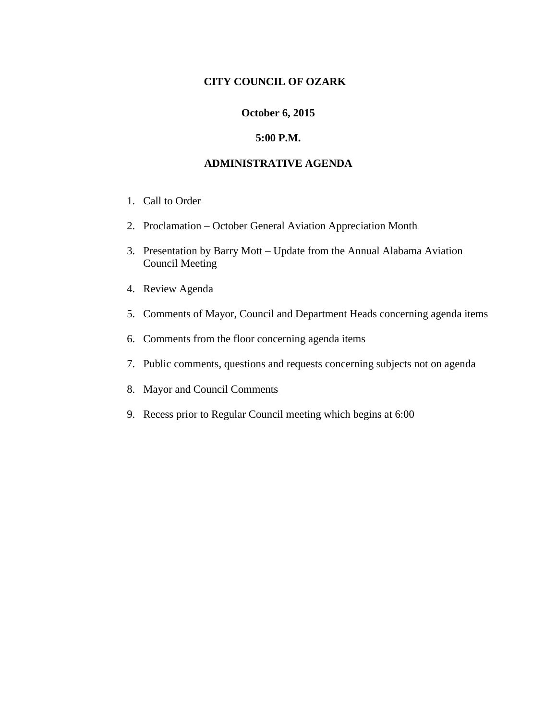## **CITY COUNCIL OF OZARK**

#### **October 6, 2015**

### **5:00 P.M.**

### **ADMINISTRATIVE AGENDA**

- 1. Call to Order
- 2. Proclamation October General Aviation Appreciation Month
- 3. Presentation by Barry Mott Update from the Annual Alabama Aviation Council Meeting
- 4. Review Agenda
- 5. Comments of Mayor, Council and Department Heads concerning agenda items
- 6. Comments from the floor concerning agenda items
- 7. Public comments, questions and requests concerning subjects not on agenda
- 8. Mayor and Council Comments
- 9. Recess prior to Regular Council meeting which begins at 6:00